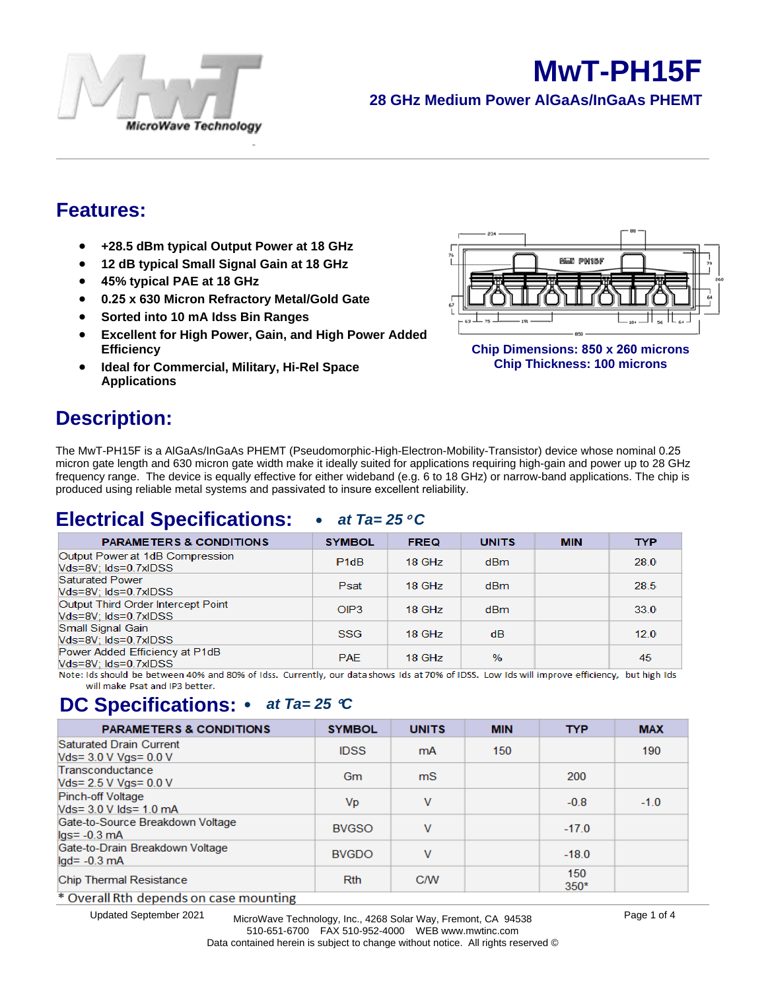

# **MwT-PH15F**

 **28 GHz Medium Power AlGaAs/InGaAs PHEMT** 

## **Features:**

- **28.5 dBm typical Output Power at 18 GHz**
- **12 dB typical Small Signal Gain at 18 GHz**
- **45% typical PAE at 18 GHz**
- **0.25 x 630 Micron Refractory Metal/Gold Gate**
- **Excellent for Power, Gain, and High Power Added Efficiency**
- **Ideal for Commercial, Military, Hi-Rel Space Applications**

**&KLS'LPHQVLRQV [ PLFURQV &KS7KFNQHVVPLF URQV** 

## **Description:**

The MwT-PH15F is a AlGaAs/InGaAs PHEMT (Pseudomorphic-High-Electron-Mobility-Transistor) device whose nominal 0.25 micron gate length and 630 micron gate width make it ideally suited for applications requiring high-gain and PHGLXPSREUZWK IUHTXHQ up to 28 GHz. The device is equally effective for either wideband (e.g. 6 to 18 GHz) or narrow-band applications. The chip is produced using reliable metal systems and passivated to insure excellent reliability.

## **Electrical Specifications:** • *at Ta= 25*° *C*

| <b>PARAMETERS &amp; CONDITIONS</b>                         | <b>SYMBOL</b>    | <b>FREQ</b> | <b>UNITS</b> | <b>MIN</b> | <b>TYP</b> |
|------------------------------------------------------------|------------------|-------------|--------------|------------|------------|
| Output Power at 1dB Compression<br>Vds=8V; Ids=0.7xIDSS    | P <sub>1dB</sub> | 18 GHz      | <b>dBm</b>   |            | 28.0       |
| <b>Saturated Power</b><br>Vds=8V: Ids=0.7xIDSS             | Psat             | 18 GHz      | dBm          |            | 28.5       |
| Output Third Order Intercept Point<br>Vds=8V: Ids=0.7xIDSS | OIP <sub>3</sub> | 18 GHz      | <b>dBm</b>   |            | 33.0       |
| <b>Small Signal Gain</b><br>Vds=8V; Ids=0.7xIDSS           | <b>SSG</b>       | 18 GHz      | dB           |            | 12.0       |
| Power Added Efficiency at P1dB<br>Vds=8V: Ids=0.7xIDSS     | <b>PAE</b>       | 18 GHz      | $\%$         |            | 45         |

Note: Ids should be between 40% and 80% of Idss. Currently, our data shows Ids at 70% of IDSS. Low Ids will improve efficiency, but high Ids will make Psat and IP3 better.

## **DC Specifications:** • *at Ta= 25* °*C*

| <b>PARAMETERS &amp; CONDITIONS</b>                                | <b>SYMBOL</b> | <b>UNITS</b>   | <b>MIN</b> | <b>TYP</b>    | <b>MAX</b> |  |  |
|-------------------------------------------------------------------|---------------|----------------|------------|---------------|------------|--|--|
| Saturated Drain Current<br>Vds= 3.0 V Vgs= 0.0 V                  | <b>IDSS</b>   | mA             | 150        |               | 190        |  |  |
| Transconductance<br>Vds= 2.5 V Vgs= 0.0 V                         | Gm            | m <sub>S</sub> |            | 200           |            |  |  |
| <b>Pinch-off Voltage</b><br>Vds= 3.0 V lds= 1.0 mA                | Vp            | v              |            | $-0.8$        | $-1.0$     |  |  |
| Gate-to-Source Breakdown Voltage<br>$\log$ = -0.3 mA              | <b>BVGSO</b>  | v              |            | $-17.0$       |            |  |  |
| Gate-to-Drain Breakdown Voltage<br>$\text{lgd} = -0.3 \text{ mA}$ | <b>BVGDO</b>  | v              |            | $-18.0$       |            |  |  |
| <b>Chip Thermal Resistance</b>                                    | <b>Rth</b>    | <b>C/W</b>     |            | 150<br>$350*$ |            |  |  |
| * Overall Rth depends on case mounting                            |               |                |            |               |            |  |  |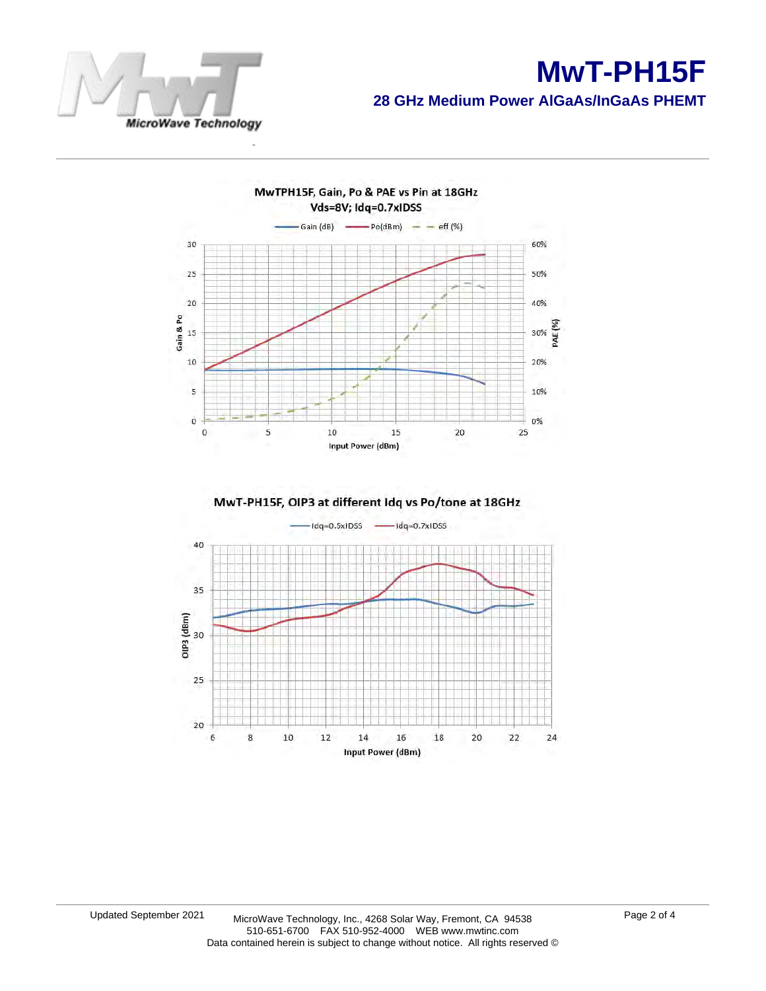

# **MwT-PH15F**

 **28 GHz Medium Power AlGaAs/InGaAs PHEMT** 





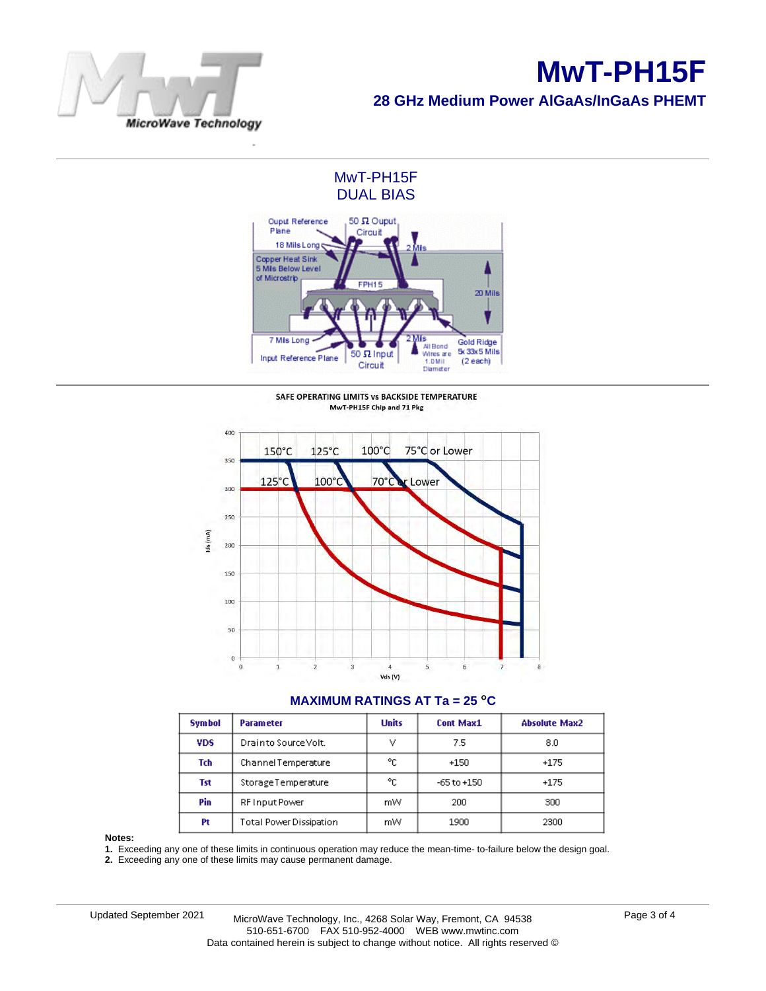

# **MwT-PH15F 28 GHz Medium Power AlGaAs/InGaAs PHEMT**

### MwT-PH15F DUAL BIAS



SAFE OPERATING LIMITS vs BACKSIDE TEMPERATURE MwT-PH15F Chip and 71 Pkg



#### **MAXIMUM RATINGS AT Ta = 25** °**C**

| <b>Symbol</b> | <b>Parameter</b>               | <b>Units</b> | <b>Cont Max1</b> | <b>Absolute Max2</b> |  |
|---------------|--------------------------------|--------------|------------------|----------------------|--|
| <b>VDS</b>    | Drainto Source Volt.           | v            | 7.5              | 8.0                  |  |
| Tch           | Channel Temperature            | °C           | $+150$           | $+175$               |  |
| Tst           | StorageTemperature             | °C           | $-65$ to $+150$  | $+175$               |  |
| Pin           | RF Input Power                 | mW           | 200              | 300                  |  |
| Pt            | <b>Total Power Dissipation</b> | mW           | 1900             | 2300                 |  |

**Notes:** 

**1.** Exceeding any one of these limits in continuous operation may reduce the mean-time- to-failure below the design goal.

**2.** Exceeding any one of these limits may cause permanent damage.